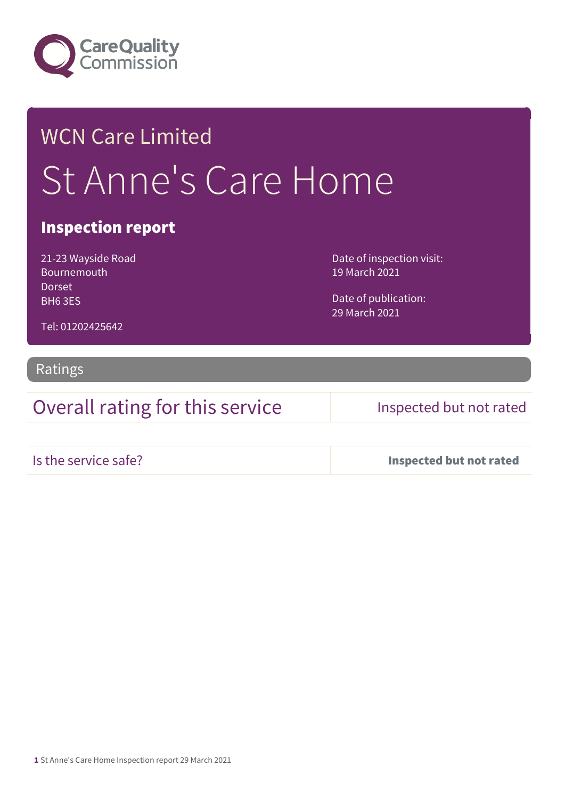

# WCN Care Limited St Anne's Care Home

### Inspection report

21-23 Wayside Road Bournemouth Dorset BH6 3ES

Date of inspection visit: 19 March 2021

Date of publication: 29 March 2021

Tel: 01202425642

### Ratings

Overall rating for this service Inspected but not rated

Is the service safe? Inspected but not rated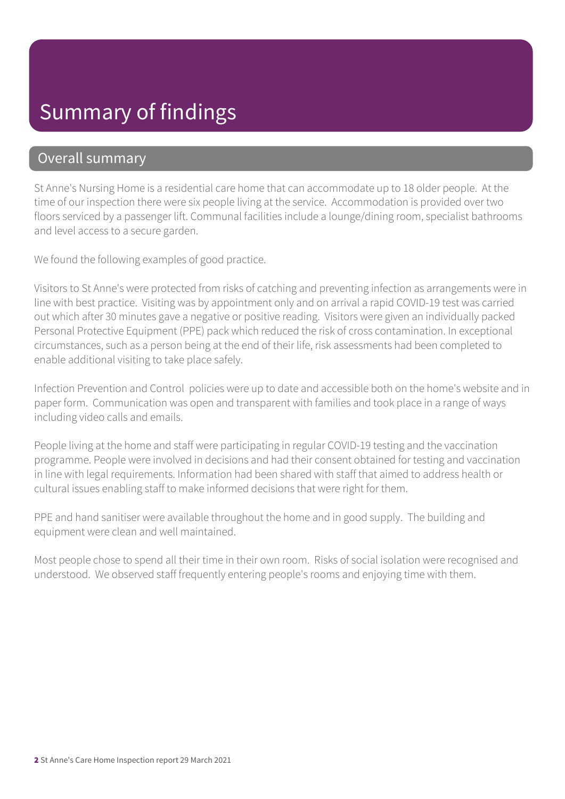## Summary of findings

### Overall summary

St Anne's Nursing Home is a residential care home that can accommodate up to 18 older people. At the time of our inspection there were six people living at the service. Accommodation is provided over two floors serviced by a passenger lift. Communal facilities include a lounge/dining room, specialist bathrooms and level access to a secure garden.

We found the following examples of good practice.

Visitors to St Anne's were protected from risks of catching and preventing infection as arrangements were in line with best practice. Visiting was by appointment only and on arrival a rapid COVID-19 test was carried out which after 30 minutes gave a negative or positive reading. Visitors were given an individually packed Personal Protective Equipment (PPE) pack which reduced the risk of cross contamination. In exceptional circumstances, such as a person being at the end of their life, risk assessments had been completed to enable additional visiting to take place safely.

Infection Prevention and Control policies were up to date and accessible both on the home's website and in paper form. Communication was open and transparent with families and took place in a range of ways including video calls and emails.

People living at the home and staff were participating in regular COVID-19 testing and the vaccination programme. People were involved in decisions and had their consent obtained for testing and vaccination in line with legal requirements. Information had been shared with staff that aimed to address health or cultural issues enabling staff to make informed decisions that were right for them.

PPE and hand sanitiser were available throughout the home and in good supply. The building and equipment were clean and well maintained.

Most people chose to spend all their time in their own room. Risks of social isolation were recognised and understood. We observed staff frequently entering people's rooms and enjoying time with them.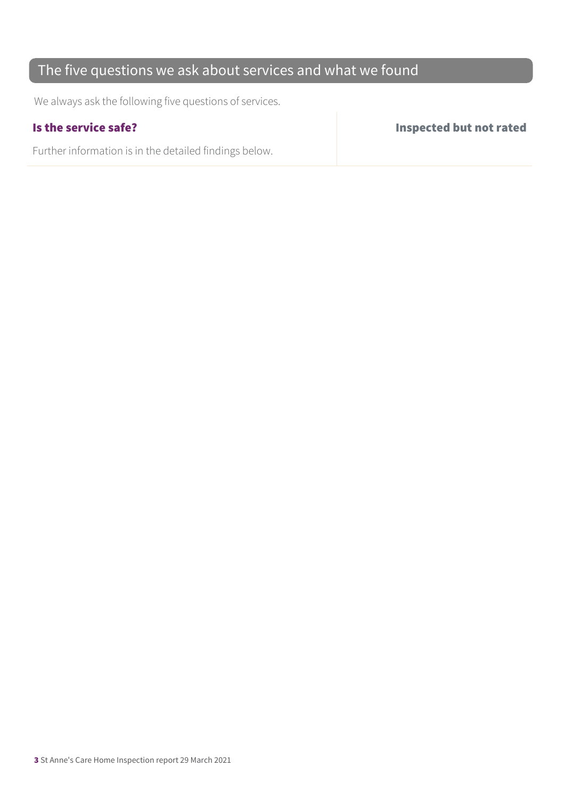### The five questions we ask about services and what we found

We always ask the following five questions of services.

Further information is in the detailed findings below.

Is the service safe? Inspected but not rated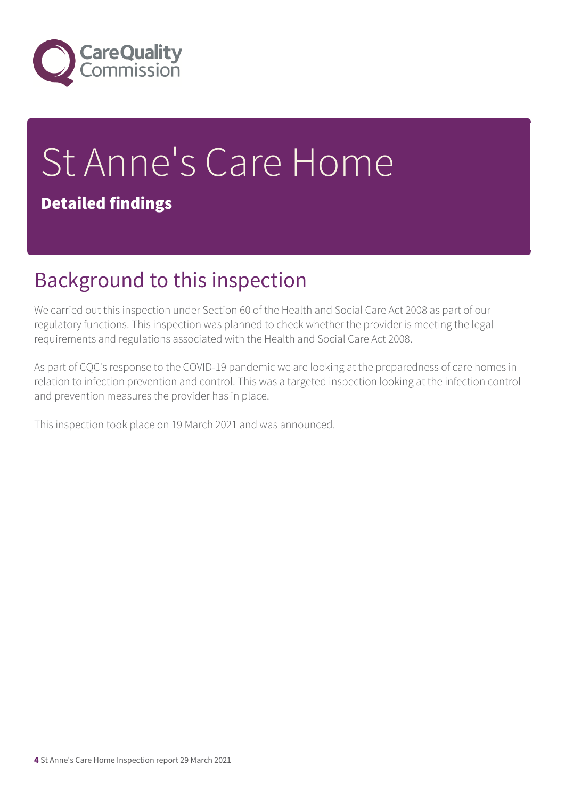

# St Anne's Care Home Detailed findings

## Background to this inspection

We carried out this inspection under Section 60 of the Health and Social Care Act 2008 as part of our regulatory functions. This inspection was planned to check whether the provider is meeting the legal requirements and regulations associated with the Health and Social Care Act 2008.

As part of CQC's response to the COVID-19 pandemic we are looking at the preparedness of care homes in relation to infection prevention and control. This was a targeted inspection looking at the infection control and prevention measures the provider has in place.

This inspection took place on 19 March 2021 and was announced.